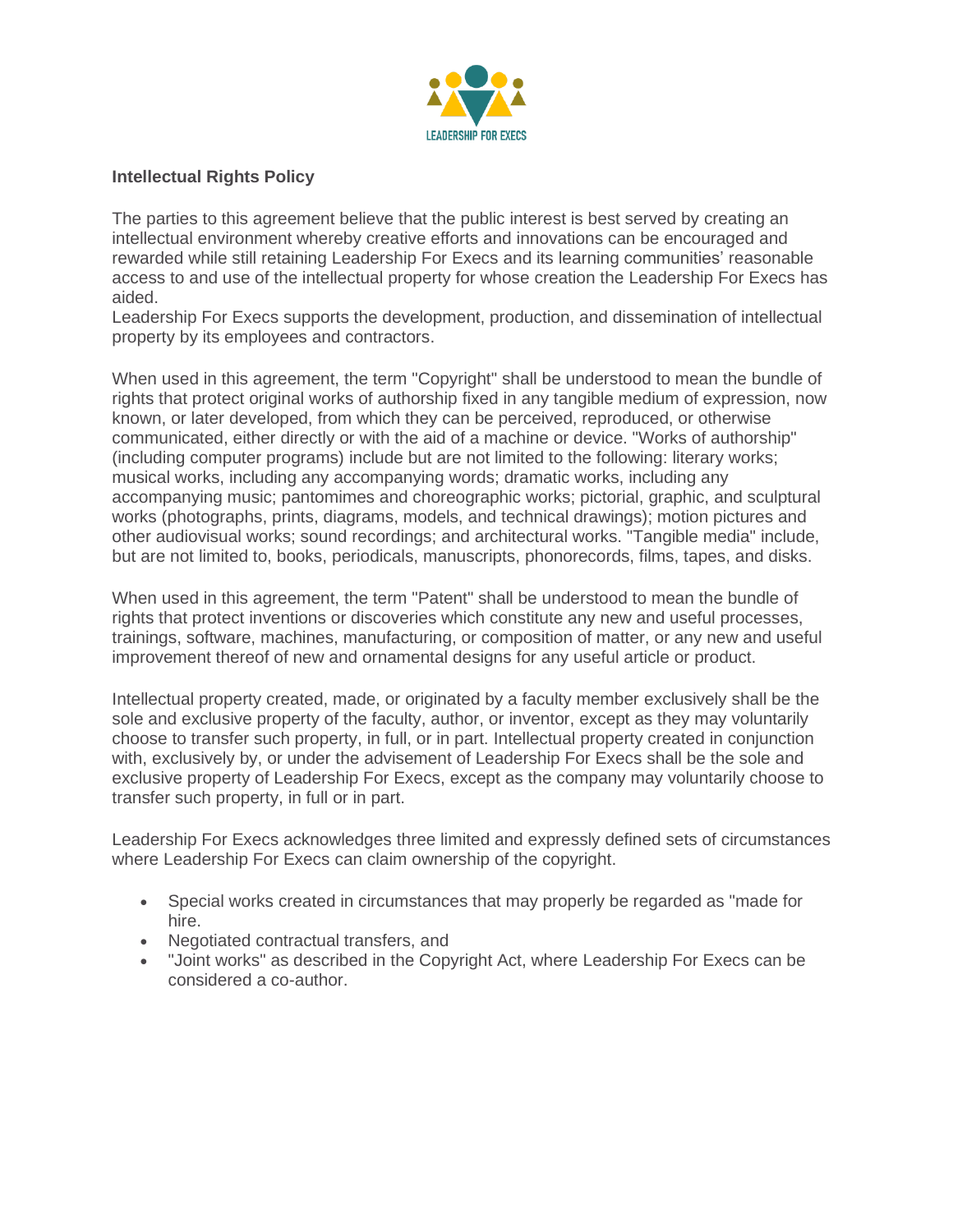

## **Intellectual Rights Policy**

The parties to this agreement believe that the public interest is best served by creating an intellectual environment whereby creative efforts and innovations can be encouraged and rewarded while still retaining Leadership For Execs and its learning communities' reasonable access to and use of the intellectual property for whose creation the Leadership For Execs has aided.

Leadership For Execs supports the development, production, and dissemination of intellectual property by its employees and contractors.

When used in this agreement, the term "Copyright" shall be understood to mean the bundle of rights that protect original works of authorship fixed in any tangible medium of expression, now known, or later developed, from which they can be perceived, reproduced, or otherwise communicated, either directly or with the aid of a machine or device. "Works of authorship" (including computer programs) include but are not limited to the following: literary works; musical works, including any accompanying words; dramatic works, including any accompanying music; pantomimes and choreographic works; pictorial, graphic, and sculptural works (photographs, prints, diagrams, models, and technical drawings); motion pictures and other audiovisual works; sound recordings; and architectural works. "Tangible media" include, but are not limited to, books, periodicals, manuscripts, phonorecords, films, tapes, and disks.

When used in this agreement, the term "Patent" shall be understood to mean the bundle of rights that protect inventions or discoveries which constitute any new and useful processes, trainings, software, machines, manufacturing, or composition of matter, or any new and useful improvement thereof of new and ornamental designs for any useful article or product.

Intellectual property created, made, or originated by a faculty member exclusively shall be the sole and exclusive property of the faculty, author, or inventor, except as they may voluntarily choose to transfer such property, in full, or in part. Intellectual property created in conjunction with, exclusively by, or under the advisement of Leadership For Execs shall be the sole and exclusive property of Leadership For Execs, except as the company may voluntarily choose to transfer such property, in full or in part.

Leadership For Execs acknowledges three limited and expressly defined sets of circumstances where Leadership For Execs can claim ownership of the copyright.

- Special works created in circumstances that may properly be regarded as "made for hire.
- Negotiated contractual transfers, and
- "Joint works" as described in the Copyright Act, where Leadership For Execs can be considered a co-author.